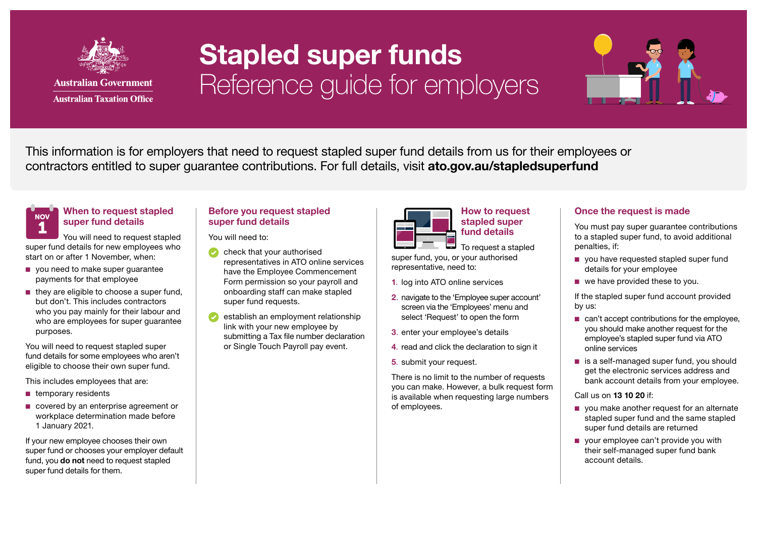

## Stapled super funds Reference guide for employers



This information is for employers that need to request stapled super fund details from us for their employees or contractors entitled to super quarantee contributions. For full details, visit [ato.gov.au/stapledsuperfund](http://ato.gov.au/stapledsuperfund)

#### When to request stapled super fund details 1 **NOV**

You will need to request stapled super fund details for new employees who start on or after 1 November, when:

- you need to make super quarantee payments for that employee
- they are eligible to choose a super fund, but don't. This includes contractors who you pay mainly for their labour and who are employees for super guarantee purposes.

You will need to request stapled super fund details for some employees who aren't eligible to choose their own super fund.

This includes employees that are:

- temporary residents
- covered by an enterprise agreement or workplace determination made before 1 January 2021.

If your new employee chooses their own super fund or chooses your employer default fund, you **do not** need to request stapled super fund details for them.

### Before you request stapled super fund details

You will need to:

- check that your authorised representatives in ATO online services have the Employee Commencement Form permission so your payroll and onboarding staff can make stapled super fund requests.
- establish an employment relationship link with your new employee by submitting a Tax file number declaration or Single Touch Payroll pay event.



How to request stapled super fund details

لكا To request a stapled super fund, you, or your authorised representative, need to:

- 1. log into ATO online services
- 2. navigate to the 'Employee super account' screen via the 'Employees' menu and select 'Request' to open the form
- 3. enter your employee's details
- 4. read and click the declaration to sign it
- 5. submit your request.

There is no limit to the number of requests you can make. However, a bulk request form is available when requesting large numbers of employees.

### Once the request is made

You must pay super guarantee contributions to a stapled super fund, to avoid additional penalties, if:

- you have requested stapled super fund details for your employee
- we have provided these to you.

If the stapled super fund account provided by us:

- can't accept contributions for the employee. you should make another request for the employee's stapled super fund via ATO online services
- is a self-managed super fund, you should get the electronic services address and bank account details from your employee.

Call us on 13 10 20 if:

- you make another request for an alternate stapled super fund and the same stapled super fund details are returned
- your employee can't provide you with their self-managed super fund bank account details.